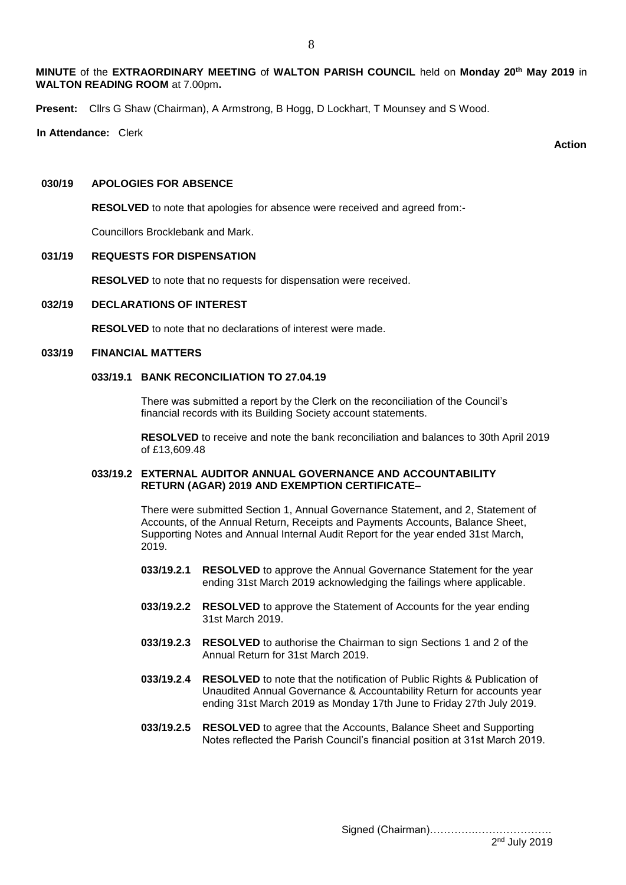**MINUTE** of the **EXTRAORDINARY MEETING** of **WALTON PARISH COUNCIL** held on **Monday 20th May 2019** in **WALTON READING ROOM** at 7.00pm**.**

**Present:** Cllrs G Shaw (Chairman), A Armstrong, B Hogg, D Lockhart, T Mounsey and S Wood.

**In Attendance:** Clerk

**Action Section Section Section Section Section Section Section Section** 

#### **030/19 APOLOGIES FOR ABSENCE**

**RESOLVED** to note that apologies for absence were received and agreed from:-

Councillors Brocklebank and Mark.

#### **031/19 REQUESTS FOR DISPENSATION**

**RESOLVED** to note that no requests for dispensation were received.

### **032/19 DECLARATIONS OF INTEREST**

**RESOLVED** to note that no declarations of interest were made.

### **033/19 FINANCIAL MATTERS**

# **033/19.1 BANK RECONCILIATION TO 27.04.19**

 There was submitted a report by the Clerk on the reconciliation of the Council's financial records with its Building Society account statements.

 **RESOLVED** to receive and note the bank reconciliation and balances to 30th April 2019 of £13,609.48

## **033/19.2 EXTERNAL AUDITOR ANNUAL GOVERNANCE AND ACCOUNTABILITY RETURN (AGAR) 2019 AND EXEMPTION CERTIFICATE**–

 There were submitted Section 1, Annual Governance Statement, and 2, Statement of Accounts, of the Annual Return, Receipts and Payments Accounts, Balance Sheet, Supporting Notes and Annual Internal Audit Report for the year ended 31st March, 2019.

- **033/19.2.1 RESOLVED** to approve the Annual Governance Statement for the year ending 31st March 2019 acknowledging the failings where applicable.
- **033/19.2.2 RESOLVED** to approve the Statement of Accounts for the year ending 31st March 2019.
- **033/19.2.3 RESOLVED** to authorise the Chairman to sign Sections 1 and 2 of the Annual Return for 31st March 2019.
- **033/19.2**.**4 RESOLVED** to note that the notification of Public Rights & Publication of Unaudited Annual Governance & Accountability Return for accounts year ending 31st March 2019 as Monday 17th June to Friday 27th July 2019.
- **033/19.2.5 RESOLVED** to agree that the Accounts, Balance Sheet and Supporting Notes reflected the Parish Council's financial position at 31st March 2019.